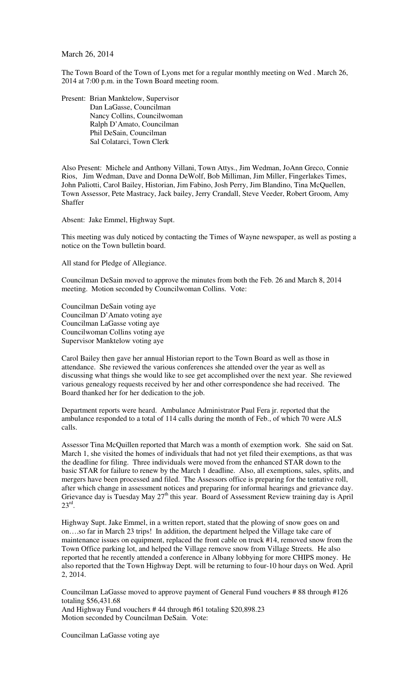## March 26, 2014

The Town Board of the Town of Lyons met for a regular monthly meeting on Wed . March 26, 2014 at 7:00 p.m. in the Town Board meeting room.

Present: Brian Manktelow, Supervisor Dan LaGasse, Councilman Nancy Collins, Councilwoman Ralph D'Amato, Councilman Phil DeSain, Councilman Sal Colatarci, Town Clerk

Also Present: Michele and Anthony Villani, Town Attys., Jim Wedman, JoAnn Greco, Connie Rios, Jim Wedman, Dave and Donna DeWolf, Bob Milliman, Jim Miller, Fingerlakes Times, John Paliotti, Carol Bailey, Historian, Jim Fabino, Josh Perry, Jim Blandino, Tina McQuellen, Town Assessor, Pete Mastracy, Jack bailey, Jerry Crandall, Steve Veeder, Robert Groom, Amy **Shaffer** 

Absent: Jake Emmel, Highway Supt.

This meeting was duly noticed by contacting the Times of Wayne newspaper, as well as posting a notice on the Town bulletin board.

All stand for Pledge of Allegiance.

Councilman DeSain moved to approve the minutes from both the Feb. 26 and March 8, 2014 meeting. Motion seconded by Councilwoman Collins. Vote:

Councilman DeSain voting aye Councilman D'Amato voting aye Councilman LaGasse voting aye Councilwoman Collins voting aye Supervisor Manktelow voting aye

Carol Bailey then gave her annual Historian report to the Town Board as well as those in attendance. She reviewed the various conferences she attended over the year as well as discussing what things she would like to see get accomplished over the next year. She reviewed various genealogy requests received by her and other correspondence she had received. The Board thanked her for her dedication to the job.

Department reports were heard. Ambulance Administrator Paul Fera jr. reported that the ambulance responded to a total of 114 calls during the month of Feb., of which 70 were ALS calls.

Assessor Tina McQuillen reported that March was a month of exemption work. She said on Sat. March 1, she visited the homes of individuals that had not yet filed their exemptions, as that was the deadline for filing. Three individuals were moved from the enhanced STAR down to the basic STAR for failure to renew by the March 1 deadline. Also, all exemptions, sales, splits, and mergers have been processed and filed. The Assessors office is preparing for the tentative roll, after which change in assessment notices and preparing for informal hearings and grievance day. Grievance day is Tuesday May 27<sup>th</sup> this year. Board of Assessment Review training day is April  $23^{\text{rd}}$ .

Highway Supt. Jake Emmel, in a written report, stated that the plowing of snow goes on and on….so far in March 23 trips! In addition, the department helped the Village take care of maintenance issues on equipment, replaced the front cable on truck #14, removed snow from the Town Office parking lot, and helped the Village remove snow from Village Streets. He also reported that he recently attended a conference in Albany lobbying for more CHIPS money. He also reported that the Town Highway Dept. will be returning to four-10 hour days on Wed. April 2, 2014.

Councilman LaGasse moved to approve payment of General Fund vouchers # 88 through #126 totaling \$56,431.68 And Highway Fund vouchers # 44 through #61 totaling \$20,898.23 Motion seconded by Councilman DeSain. Vote:

Councilman LaGasse voting aye